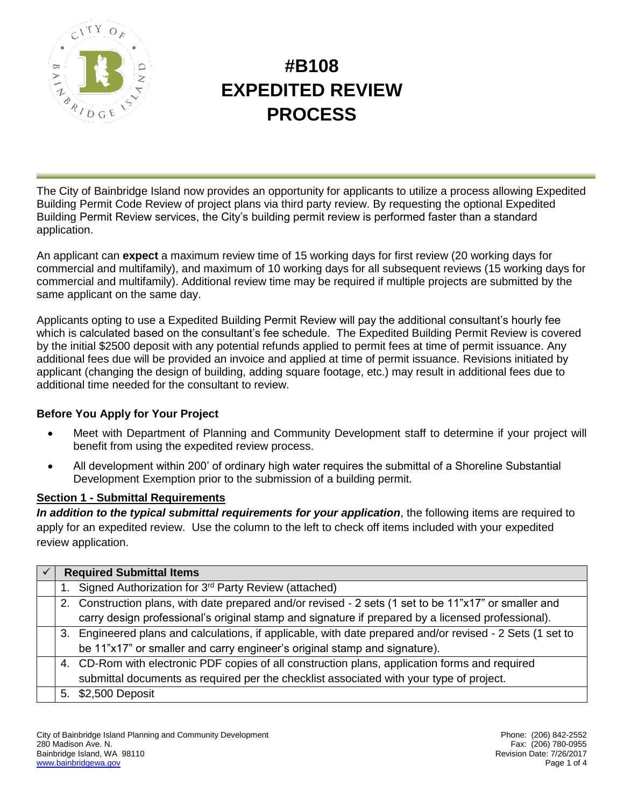

# **#B108 EXPEDITED REVIEW PROCESS**

The City of Bainbridge Island now provides an opportunity for applicants to utilize a process allowing Expedited Building Permit Code Review of project plans via third party review. By requesting the optional Expedited Building Permit Review services, the City's building permit review is performed faster than a standard application.

An applicant can **expect** a maximum review time of 15 working days for first review (20 working days for commercial and multifamily), and maximum of 10 working days for all subsequent reviews (15 working days for commercial and multifamily). Additional review time may be required if multiple projects are submitted by the same applicant on the same day.

Applicants opting to use a Expedited Building Permit Review will pay the additional consultant's hourly fee which is calculated based on the consultant's fee schedule. The Expedited Building Permit Review is covered by the initial \$2500 deposit with any potential refunds applied to permit fees at time of permit issuance. Any additional fees due will be provided an invoice and applied at time of permit issuance. Revisions initiated by applicant (changing the design of building, adding square footage, etc.) may result in additional fees due to additional time needed for the consultant to review.

#### **Before You Apply for Your Project**

- Meet with Department of Planning and Community Development staff to determine if your project will benefit from using the expedited review process.
- All development within 200' of ordinary high water requires the submittal of a Shoreline Substantial Development Exemption prior to the submission of a building permit.

#### **Section 1 - Submittal Requirements**

In addition to the typical submittal requirements for your application, the following items are required to apply for an expedited review. Use the column to the left to check off items included with your expedited review application.

| <b>Required Submittal Items</b> |                                                                                                           |  |  |  |
|---------------------------------|-----------------------------------------------------------------------------------------------------------|--|--|--|
|                                 | 1. Signed Authorization for 3rd Party Review (attached)                                                   |  |  |  |
|                                 | 2. Construction plans, with date prepared and/or revised - 2 sets (1 set to be 11"x17" or smaller and     |  |  |  |
|                                 | carry design professional's original stamp and signature if prepared by a licensed professional).         |  |  |  |
|                                 | 3. Engineered plans and calculations, if applicable, with date prepared and/or revised - 2 Sets (1 set to |  |  |  |
|                                 | be 11"x17" or smaller and carry engineer's original stamp and signature).                                 |  |  |  |
|                                 | 4. CD-Rom with electronic PDF copies of all construction plans, application forms and required            |  |  |  |
|                                 | submittal documents as required per the checklist associated with your type of project.                   |  |  |  |
|                                 | 5. \$2,500 Deposit                                                                                        |  |  |  |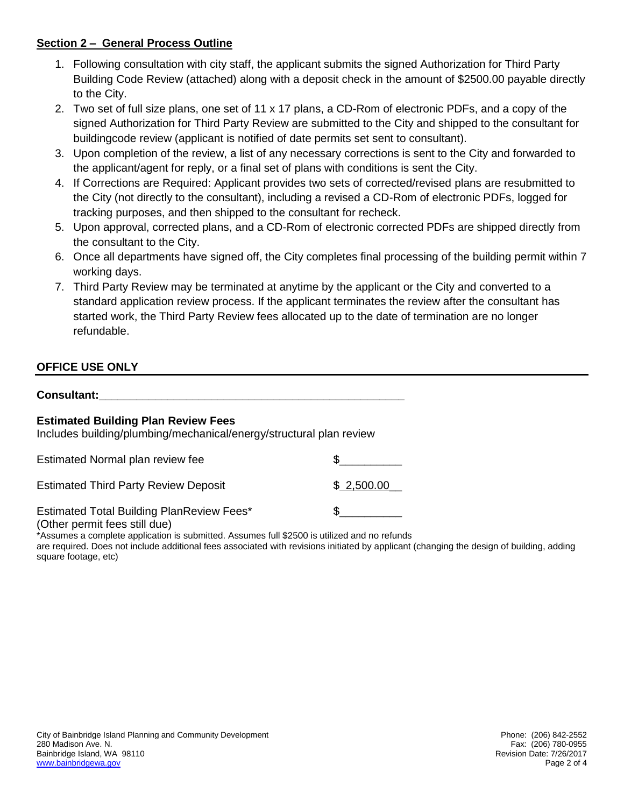#### **Section 2 – General Process Outline**

- 1. Following consultation with city staff, the applicant submits the signed Authorization for Third Party Building Code Review (attached) along with a deposit check in the amount of \$2500.00 payable directly to the City.
- 2. Two set of full size plans, one set of 11 x 17 plans, a CD-Rom of electronic PDFs, and a copy of the signed Authorization for Third Party Review are submitted to the City and shipped to the consultant for buildingcode review (applicant is notified of date permits set sent to consultant).
- 3. Upon completion of the review, a list of any necessary corrections is sent to the City and forwarded to the applicant/agent for reply, or a final set of plans with conditions is sent the City.
- 4. If Corrections are Required: Applicant provides two sets of corrected/revised plans are resubmitted to the City (not directly to the consultant), including a revised a CD-Rom of electronic PDFs, logged for tracking purposes, and then shipped to the consultant for recheck.
- 5. Upon approval, corrected plans, and a CD-Rom of electronic corrected PDFs are shipped directly from the consultant to the City.
- 6. Once all departments have signed off, the City completes final processing of the building permit within 7 working days.
- 7. Third Party Review may be terminated at anytime by the applicant or the City and converted to a standard application review process. If the applicant terminates the review after the consultant has started work, the Third Party Review fees allocated up to the date of termination are no longer refundable.

#### **OFFICE USE ONLY**

| <b>Consultant:</b> |  |  |  |
|--------------------|--|--|--|
|                    |  |  |  |

#### **Estimated Building Plan Review Fees**

Includes building/plumbing/mechanical/energy/structural plan review

| Estimated Normal plan review fee                 |            |
|--------------------------------------------------|------------|
| <b>Estimated Third Party Review Deposit</b>      | \$2,500.00 |
| <b>Estimated Total Building PlanReview Fees*</b> |            |

(Other permit fees still due)

\*Assumes a complete application is submitted. Assumes full \$2500 is utilized and no refunds are required. Does not include additional fees associated with revisions initiated by applicant (changing the design of building, adding square footage, etc)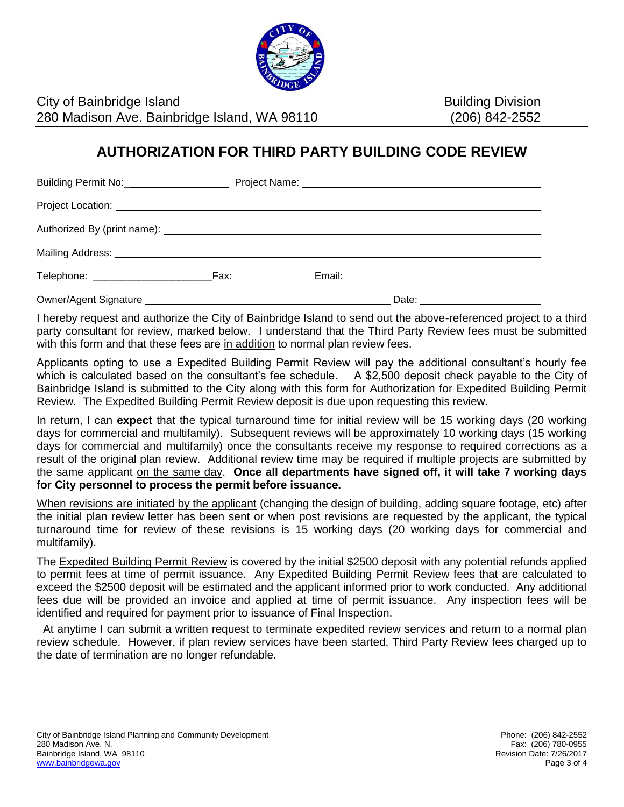

City of Bainbridge Island Building Division 280 Madison Ave. Bainbridge Island, WA 98110 (206) 842-2552

### **AUTHORIZATION FOR THIRD PARTY BUILDING CODE REVIEW**

|  |  |  | Date: _______________________ |  |  |  |  |
|--|--|--|-------------------------------|--|--|--|--|

I hereby request and authorize the City of Bainbridge Island to send out the above-referenced project to a third party consultant for review, marked below. I understand that the Third Party Review fees must be submitted with this form and that these fees are in addition to normal plan review fees.

Applicants opting to use a Expedited Building Permit Review will pay the additional consultant's hourly fee which is calculated based on the consultant's fee schedule. A \$2,500 deposit check payable to the City of Bainbridge Island is submitted to the City along with this form for Authorization for Expedited Building Permit Review. The Expedited Building Permit Review deposit is due upon requesting this review.

In return, I can **expect** that the typical turnaround time for initial review will be 15 working days (20 working days for commercial and multifamily). Subsequent reviews will be approximately 10 working days (15 working days for commercial and multifamily) once the consultants receive my response to required corrections as a result of the original plan review. Additional review time may be required if multiple projects are submitted by the same applicant on the same day. **Once all departments have signed off, it will take 7 working days for City personnel to process the permit before issuance.**

When revisions are initiated by the applicant (changing the design of building, adding square footage, etc) after the initial plan review letter has been sent or when post revisions are requested by the applicant, the typical turnaround time for review of these revisions is 15 working days (20 working days for commercial and multifamily).

The Expedited Building Permit Review is covered by the initial \$2500 deposit with any potential refunds applied to permit fees at time of permit issuance. Any Expedited Building Permit Review fees that are calculated to exceed the \$2500 deposit will be estimated and the applicant informed prior to work conducted. Any additional fees due will be provided an invoice and applied at time of permit issuance. Any inspection fees will be identified and required for payment prior to issuance of Final Inspection.

 At anytime I can submit a written request to terminate expedited review services and return to a normal plan review schedule. However, if plan review services have been started, Third Party Review fees charged up to the date of termination are no longer refundable.